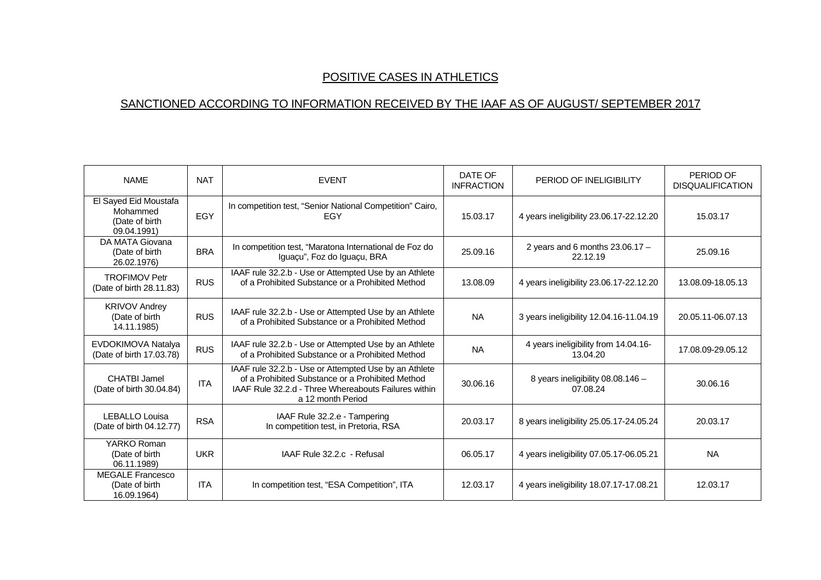## POSITIVE CASES IN ATHLETICS

## SANCTIONED ACCORDING TO INFORMATION RECEIVED BY THE IAAF AS OF AUGUST/ SEPTEMBER 2017

| <b>NAME</b>                                                        | <b>NAT</b> | <b>EVENT</b>                                                                                                                                                                           | DATE OF<br><b>INFRACTION</b> | PERIOD OF INELIGIBILITY                          | PERIOD OF<br><b>DISQUALIFICATION</b> |
|--------------------------------------------------------------------|------------|----------------------------------------------------------------------------------------------------------------------------------------------------------------------------------------|------------------------------|--------------------------------------------------|--------------------------------------|
| El Sayed Eid Moustafa<br>Mohammed<br>(Date of birth<br>09.04.1991) | EGY        | In competition test, "Senior National Competition" Cairo,<br>EGY                                                                                                                       | 15.03.17                     | 4 years ineligibility 23.06.17-22.12.20          | 15.03.17                             |
| DA MATA Giovana<br>(Date of birth<br>26.02.1976)                   | <b>BRA</b> | In competition test, "Maratona International de Foz do<br>Iguaçu", Foz do Iguaçu, BRA                                                                                                  | 25.09.16                     | 2 years and 6 months $23.06.17 -$<br>22.12.19    | 25.09.16                             |
| <b>TROFIMOV Petr</b><br>(Date of birth 28.11.83)                   | <b>RUS</b> | IAAF rule 32.2.b - Use or Attempted Use by an Athlete<br>of a Prohibited Substance or a Prohibited Method                                                                              | 13.08.09                     | 4 years ineligibility 23.06.17-22.12.20          | 13.08.09-18.05.13                    |
| <b>KRIVOV Andrey</b><br>(Date of birth<br>14.11.1985)              | <b>RUS</b> | IAAF rule 32.2.b - Use or Attempted Use by an Athlete<br>of a Prohibited Substance or a Prohibited Method                                                                              | <b>NA</b>                    | 3 years ineligibility 12.04.16-11.04.19          | 20.05.11-06.07.13                    |
| EVDOKIMOVA Natalya<br>(Date of birth 17.03.78)                     | <b>RUS</b> | IAAF rule 32.2.b - Use or Attempted Use by an Athlete<br>of a Prohibited Substance or a Prohibited Method                                                                              | <b>NA</b>                    | 4 years ineligibility from 14.04.16-<br>13.04.20 | 17.08.09-29.05.12                    |
| CHATBI Jamel<br>(Date of birth 30.04.84)                           | <b>ITA</b> | IAAF rule 32.2.b - Use or Attempted Use by an Athlete<br>of a Prohibited Substance or a Prohibited Method<br>IAAF Rule 32.2.d - Three Whereabouts Failures within<br>a 12 month Period | 30.06.16                     | 8 years ineligibility 08.08.146 -<br>07.08.24    | 30.06.16                             |
| LEBALLO Louisa<br>(Date of birth 04.12.77)                         | <b>RSA</b> | IAAF Rule 32.2.e - Tampering<br>In competition test, in Pretoria, RSA                                                                                                                  | 20.03.17                     | 8 years ineligibility 25.05.17-24.05.24          | 20.03.17                             |
| YARKO Roman<br>(Date of birth<br>06.11.1989)                       | <b>UKR</b> | IAAF Rule 32.2.c - Refusal                                                                                                                                                             | 06.05.17                     | 4 years ineligibility 07.05.17-06.05.21          | <b>NA</b>                            |
| <b>MEGALE Francesco</b><br>(Date of birth<br>16.09.1964)           | <b>ITA</b> | In competition test, "ESA Competition", ITA                                                                                                                                            | 12.03.17                     | 4 years ineligibility 18.07.17-17.08.21          | 12.03.17                             |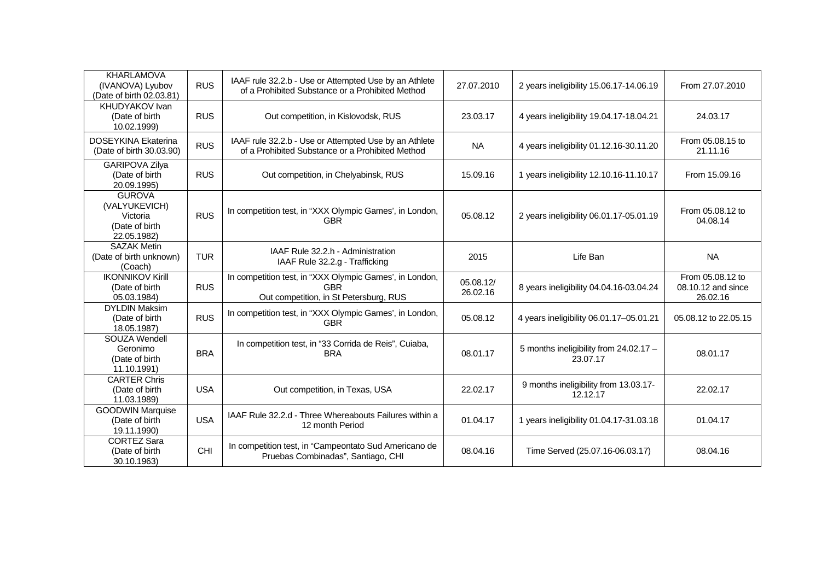| <b>KHARLAMOVA</b><br>(IVANOVA) Lyubov<br>(Date of birth 02.03.81)           | <b>RUS</b> | IAAF rule 32.2.b - Use or Attempted Use by an Athlete<br>of a Prohibited Substance or a Prohibited Method       | 27.07.2010            | 2 years ineligibility 15.06.17-14.06.19            | From 27.07.2010                                    |
|-----------------------------------------------------------------------------|------------|-----------------------------------------------------------------------------------------------------------------|-----------------------|----------------------------------------------------|----------------------------------------------------|
| KHUDYAKOV Ivan<br>(Date of birth<br>10.02.1999)                             | <b>RUS</b> | Out competition, in Kislovodsk, RUS                                                                             | 23.03.17              | 4 years ineligibility 19.04.17-18.04.21            | 24.03.17                                           |
| DOSEYKINA Ekaterina<br>(Date of birth 30.03.90)                             | <b>RUS</b> | IAAF rule 32.2.b - Use or Attempted Use by an Athlete<br>of a Prohibited Substance or a Prohibited Method       | <b>NA</b>             | 4 years ineligibility 01.12.16-30.11.20            | From 05.08.15 to<br>21.11.16                       |
| GARIPOVA Zilya<br>(Date of birth<br>20.09.1995)                             | <b>RUS</b> | Out competition, in Chelyabinsk, RUS                                                                            | 15.09.16              | 1 years ineligibility 12.10.16-11.10.17            | From 15.09.16                                      |
| <b>GUROVA</b><br>(VALYUKEVICH)<br>Victoria<br>(Date of birth<br>22.05.1982) | <b>RUS</b> | In competition test, in "XXX Olympic Games', in London,<br><b>GBR</b>                                           | 05.08.12              | 2 years ineligibility 06.01.17-05.01.19            | From 05.08.12 to<br>04.08.14                       |
| <b>SAZAK Metin</b><br>(Date of birth unknown)<br>(Coach)                    | <b>TUR</b> | IAAF Rule 32.2.h - Administration<br>IAAF Rule 32.2.g - Trafficking                                             | 2015                  | Life Ban                                           | <b>NA</b>                                          |
| <b>IKONNIKOV Kirill</b><br>(Date of birth<br>05.03.1984)                    | <b>RUS</b> | In competition test, in "XXX Olympic Games', in London,<br><b>GBR</b><br>Out competition, in St Petersburg, RUS | 05.08.12/<br>26.02.16 | 8 years ineligibility 04.04.16-03.04.24            | From 05.08.12 to<br>08.10.12 and since<br>26.02.16 |
| <b>DYLDIN Maksim</b><br>(Date of birth<br>18.05.1987)                       | <b>RUS</b> | In competition test, in "XXX Olympic Games', in London,<br><b>GBR</b>                                           | 05.08.12              | 4 years ineligibility 06.01.17-05.01.21            | 05.08.12 to 22.05.15                               |
| SOUZA Wendell<br>Geronimo<br>(Date of birth<br>11.10.1991)                  | <b>BRA</b> | In competition test, in "33 Corrida de Reis", Cuiaba,<br><b>BRA</b>                                             | 08.01.17              | 5 months ineligibility from 24.02.17 -<br>23.07.17 | 08.01.17                                           |
| <b>CARTER Chris</b><br>(Date of birth<br>11.03.1989)                        | <b>USA</b> | Out competition, in Texas, USA                                                                                  | 22.02.17              | 9 months ineligibility from 13.03.17-<br>12.12.17  | 22.02.17                                           |
| <b>GOODWIN Marquise</b><br>(Date of birth<br>19.11.1990)                    | <b>USA</b> | IAAF Rule 32.2.d - Three Whereabouts Failures within a<br>12 month Period                                       | 01.04.17              | 1 years ineligibility 01.04.17-31.03.18            | 01.04.17                                           |
| <b>CORTEZ Sara</b><br>(Date of birth<br>30.10.1963)                         | CHI        | In competition test, in "Campeontato Sud Americano de<br>Pruebas Combinadas", Santiago, CHI                     | 08.04.16              | Time Served (25.07.16-06.03.17)                    | 08.04.16                                           |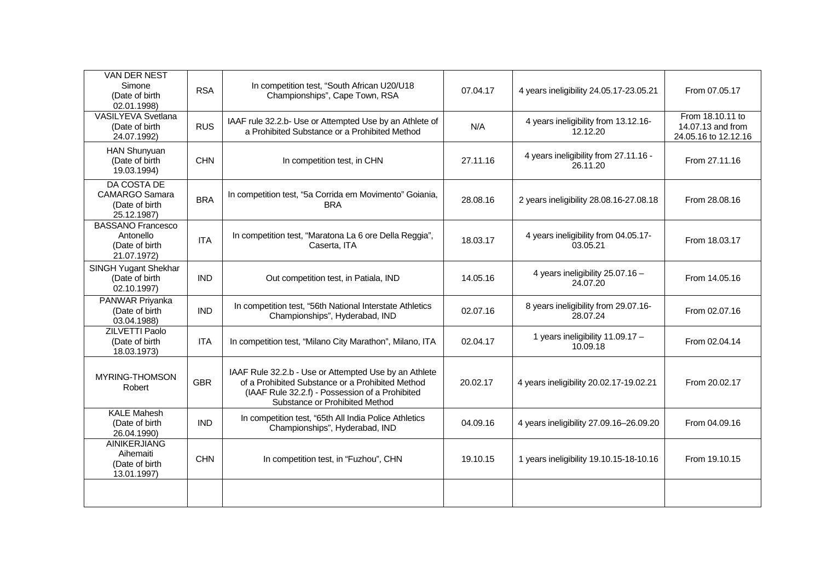| VAN DER NEST<br>Simone<br>(Date of birth<br>02.01.1998)                | <b>RSA</b> | In competition test, "South African U20/U18<br>Championships", Cape Town, RSA                                                                                                                  | 07.04.17 | 4 years ineligibility 24.05.17-23.05.21           | From 07.05.17                                                 |
|------------------------------------------------------------------------|------------|------------------------------------------------------------------------------------------------------------------------------------------------------------------------------------------------|----------|---------------------------------------------------|---------------------------------------------------------------|
| VASILYEVA Svetlana<br>(Date of birth<br>24.07.1992)                    | <b>RUS</b> | IAAF rule 32.2.b- Use or Attempted Use by an Athlete of<br>a Prohibited Substance or a Prohibited Method                                                                                       | N/A      | 4 years ineligibility from 13.12.16-<br>12.12.20  | From 18.10.11 to<br>14.07.13 and from<br>24.05.16 to 12.12.16 |
| <b>HAN Shunyuan</b><br>(Date of birth<br>19.03.1994)                   | <b>CHN</b> | In competition test, in CHN                                                                                                                                                                    | 27.11.16 | 4 years ineligibility from 27.11.16 -<br>26.11.20 | From 27.11.16                                                 |
| DA COSTA DE<br><b>CAMARGO Samara</b><br>(Date of birth<br>25.12.1987)  | <b>BRA</b> | In competition test, "5a Corrida em Movimento" Goiania,<br><b>BRA</b>                                                                                                                          | 28.08.16 | 2 years ineligibility 28.08.16-27.08.18           | From 28.08.16                                                 |
| <b>BASSANO Francesco</b><br>Antonello<br>(Date of birth<br>21.07.1972) | <b>ITA</b> | In competition test, "Maratona La 6 ore Della Reggia",<br>Caserta, ITA                                                                                                                         | 18.03.17 | 4 years ineligibility from 04.05.17-<br>03.05.21  | From 18.03.17                                                 |
| SINGH Yugant Shekhar<br>(Date of birth<br>02.10.1997)                  | <b>IND</b> | Out competition test, in Patiala, IND                                                                                                                                                          | 14.05.16 | 4 years ineligibility 25.07.16 -<br>24.07.20      | From 14.05.16                                                 |
| PANWAR Priyanka<br>(Date of birth<br>03.04.1988)                       | <b>IND</b> | In competition test, "56th National Interstate Athletics<br>Championships", Hyderabad, IND                                                                                                     | 02.07.16 | 8 years ineligibility from 29.07.16-<br>28.07.24  | From 02.07.16                                                 |
| <b>ZILVETTI Paolo</b><br>(Date of birth<br>18.03.1973)                 | <b>ITA</b> | In competition test, "Milano City Marathon", Milano, ITA                                                                                                                                       | 02.04.17 | 1 years ineligibility 11.09.17 -<br>10.09.18      | From 02.04.14                                                 |
| MYRING-THOMSON<br>Robert                                               | <b>GBR</b> | IAAF Rule 32.2.b - Use or Attempted Use by an Athlete<br>of a Prohibited Substance or a Prohibited Method<br>(IAAF Rule 32.2.f) - Possession of a Prohibited<br>Substance or Prohibited Method | 20.02.17 | 4 years ineligibility 20.02.17-19.02.21           | From 20.02.17                                                 |
| <b>KALE Mahesh</b><br>(Date of birth<br>26.04.1990)                    | <b>IND</b> | In competition test, "65th All India Police Athletics<br>Championships", Hyderabad, IND                                                                                                        | 04.09.16 | 4 years ineligibility 27.09.16-26.09.20           | From 04.09.16                                                 |
| <b>AINIKERJIANG</b><br>Aihemaiti<br>(Date of birth<br>13.01.1997)      | <b>CHN</b> | In competition test, in "Fuzhou", CHN                                                                                                                                                          | 19.10.15 | 1 years ineligibility 19.10.15-18-10.16           | From 19.10.15                                                 |
|                                                                        |            |                                                                                                                                                                                                |          |                                                   |                                                               |